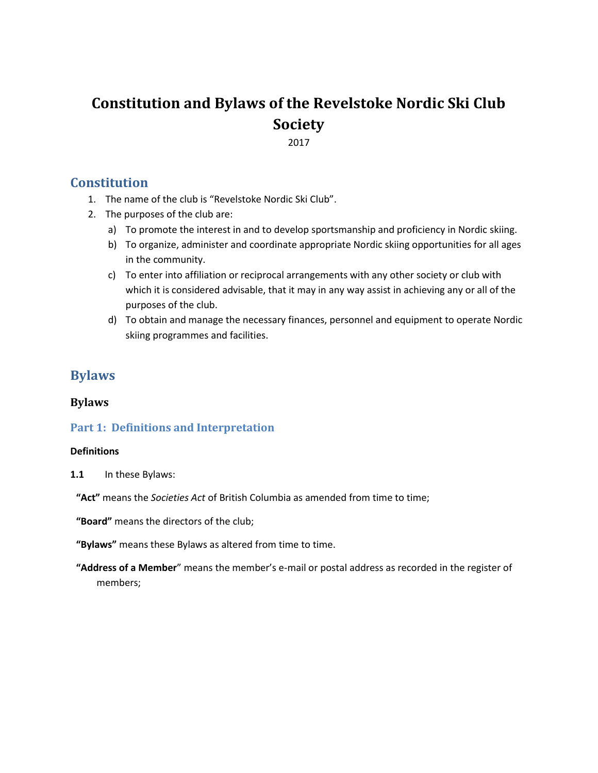# **Constitution and Bylaws of the Revelstoke Nordic Ski Club Society**

2017

# **Constitution**

- 1. The name of the club is "Revelstoke Nordic Ski Club".
- 2. The purposes of the club are:
	- a) To promote the interest in and to develop sportsmanship and proficiency in Nordic skiing.
	- b) To organize, administer and coordinate appropriate Nordic skiing opportunities for all ages in the community.
	- c) To enter into affiliation or reciprocal arrangements with any other society or club with which it is considered advisable, that it may in any way assist in achieving any or all of the purposes of the club.
	- d) To obtain and manage the necessary finances, personnel and equipment to operate Nordic skiing programmes and facilities.

# **Bylaws**

# **Bylaws**

# **Part 1: Definitions and Interpretation**

#### **Definitions**

**1.1** In these Bylaws:

**"Act"** means the *Societies Act* of British Columbia as amended from time to time;

**"Board"** means the directors of the club;

**"Bylaws"** means these Bylaws as altered from time to time.

**"Address of a Member**" means the member's e-mail or postal address as recorded in the register of members;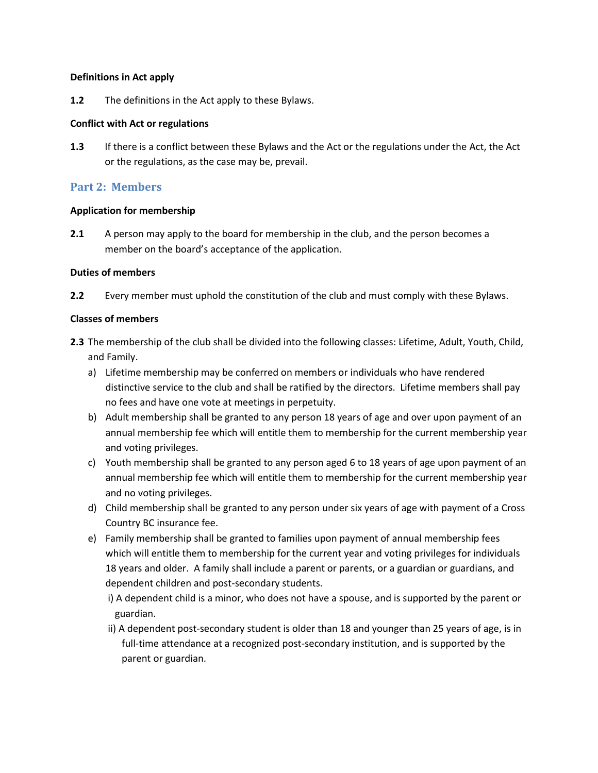#### **Definitions in Act apply**

**1.2** The definitions in the Act apply to these Bylaws.

#### **Conflict with Act or regulations**

**1.3** If there is a conflict between these Bylaws and the Act or the regulations under the Act, the Act or the regulations, as the case may be, prevail.

### **Part 2: Members**

#### **Application for membership**

**2.1** A person may apply to the board for membership in the club, and the person becomes a member on the board's acceptance of the application.

#### **Duties of members**

**2.2** Every member must uphold the constitution of the club and must comply with these Bylaws.

#### **Classes of members**

- **2.3** The membership of the club shall be divided into the following classes: Lifetime, Adult, Youth, Child, and Family.
	- a) Lifetime membership may be conferred on members or individuals who have rendered distinctive service to the club and shall be ratified by the directors. Lifetime members shall pay no fees and have one vote at meetings in perpetuity.
	- b) Adult membership shall be granted to any person 18 years of age and over upon payment of an annual membership fee which will entitle them to membership for the current membership year and voting privileges.
	- c) Youth membership shall be granted to any person aged 6 to 18 years of age upon payment of an annual membership fee which will entitle them to membership for the current membership year and no voting privileges.
	- d) Child membership shall be granted to any person under six years of age with payment of a Cross Country BC insurance fee.
	- e) Family membership shall be granted to families upon payment of annual membership fees which will entitle them to membership for the current year and voting privileges for individuals 18 years and older. A family shall include a parent or parents, or a guardian or guardians, and dependent children and post-secondary students.

i) A dependent child is a minor, who does not have a spouse, and is supported by the parent or guardian.

ii) A dependent post-secondary student is older than 18 and younger than 25 years of age, is in full-time attendance at a recognized post-secondary institution, and is supported by the parent or guardian.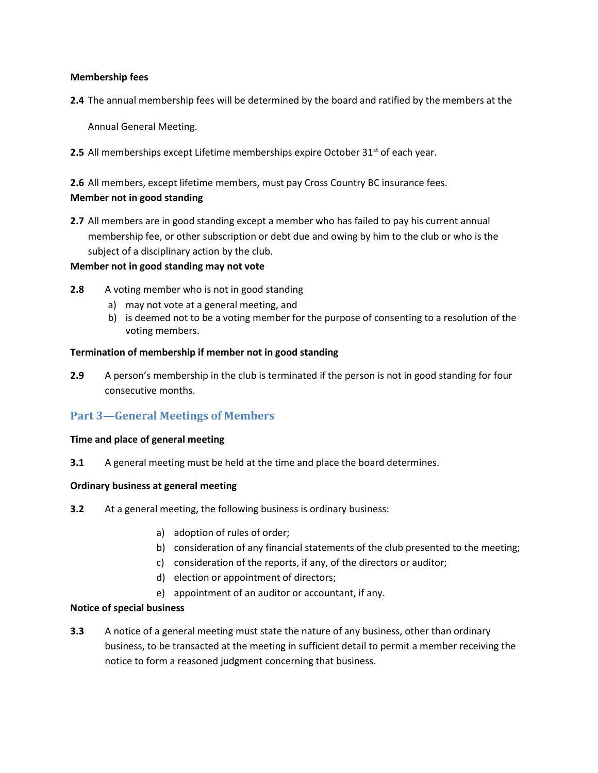#### **Membership fees**

**2.4** The annual membership fees will be determined by the board and ratified by the members at the

Annual General Meeting.

**2.5** All memberships except Lifetime memberships expire October 31<sup>st</sup> of each year.

**2.6** All members, except lifetime members, must pay Cross Country BC insurance fees. **Member not in good standing** 

**2.7** All members are in good standing except a member who has failed to pay his current annual membership fee, or other subscription or debt due and owing by him to the club or who is the subject of a disciplinary action by the club.

#### **Member not in good standing may not vote**

- **2.8** A voting member who is not in good standing
	- a) may not vote at a general meeting, and
	- b) is deemed not to be a voting member for the purpose of consenting to a resolution of the voting members.

#### **Termination of membership if member not in good standing**

**2.9** A person's membership in the club is terminated if the person is not in good standing for four consecutive months.

# **Part 3—General Meetings of Members**

#### **Time and place of general meeting**

**3.1** A general meeting must be held at the time and place the board determines.

#### **Ordinary business at general meeting**

- **3.2** At a general meeting, the following business is ordinary business:
	- a) adoption of rules of order;
	- b) consideration of any financial statements of the club presented to the meeting;
	- c) consideration of the reports, if any, of the directors or auditor;
	- d) election or appointment of directors;
	- e) appointment of an auditor or accountant, if any.

#### **Notice of special business**

**3.3** A notice of a general meeting must state the nature of any business, other than ordinary business, to be transacted at the meeting in sufficient detail to permit a member receiving the notice to form a reasoned judgment concerning that business.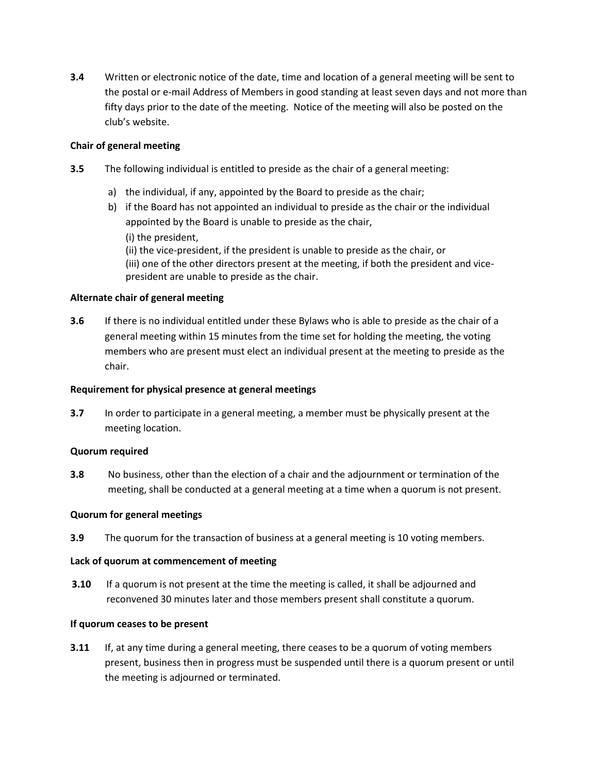**3.4** Written or electronic notice of the date, time and location of a general meeting will be sent to the postal or e-mail Address of Members in good standing at least seven days and not more than fifty days prior to the date of the meeting. Notice of the meeting will also be posted on the club's website.

#### **Chair of general meeting**

- **3.5** The following individual is entitled to preside as the chair of a general meeting:
	- a) the individual, if any, appointed by the Board to preside as the chair;
	- b) if the Board has not appointed an individual to preside as the chair or the individual appointed by the Board is unable to preside as the chair,
		- (i) the president,
		- (ii) the vice-president, if the president is unable to preside as the chair, or (iii) one of the other directors present at the meeting, if both the president and vicepresident are unable to preside as the chair.

### **Alternate chair of general meeting**

**3.6** If there is no individual entitled under these Bylaws who is able to preside as the chair of a general meeting within 15 minutes from the time set for holding the meeting, the voting members who are present must elect an individual present at the meeting to preside as the chair.

#### **Requirement for physical presence at general meetings**

**3.7** In order to participate in a general meeting, a member must be physically present at the meeting location.

#### **Quorum required**

**3.8** No business, other than the election of a chair and the adjournment or termination of the meeting, shall be conducted at a general meeting at a time when a quorum is not present.

#### **Quorum for general meetings**

**3.9** The quorum for the transaction of business at a general meeting is 10 voting members.

#### **Lack of quorum at commencement of meeting**

**3.10** If a quorum is not present at the time the meeting is called, it shall be adjourned and reconvened 30 minutes later and those members present shall constitute a quorum.

#### **If quorum ceases to be present**

**3.11** If, at any time during a general meeting, there ceases to be a quorum of voting members present, business then in progress must be suspended until there is a quorum present or until the meeting is adjourned or terminated.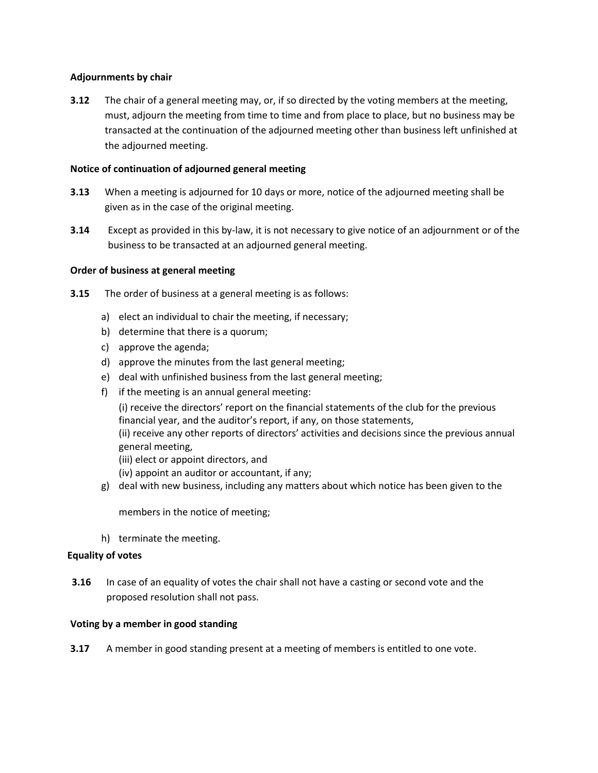#### **Adjournments by chair**

**3.12** The chair of a general meeting may, or, if so directed by the voting members at the meeting, must, adjourn the meeting from time to time and from place to place, but no business may be transacted at the continuation of the adjourned meeting other than business left unfinished at the adjourned meeting.

#### **Notice of continuation of adjourned general meeting**

- **3.13** When a meeting is adjourned for 10 days or more, notice of the adjourned meeting shall be given as in the case of the original meeting.
- **3.14** Except as provided in this by-law, it is not necessary to give notice of an adjournment or of the business to be transacted at an adjourned general meeting.

#### **Order of business at general meeting**

- **3.15** The order of business at a general meeting is as follows:
	- a) elect an individual to chair the meeting, if necessary;
	- b) determine that there is a quorum;
	- c) approve the agenda;
	- d) approve the minutes from the last general meeting;
	- e) deal with unfinished business from the last general meeting;
	- f) if the meeting is an annual general meeting:

(i) receive the directors' report on the financial statements of the club for the previous financial year, and the auditor's report, if any, on those statements, (ii) receive any other reports of directors' activities and decisions since the previous annual general meeting,

- (iii) elect or appoint directors, and
- (iv) appoint an auditor or accountant, if any;
- g) deal with new business, including any matters about which notice has been given to the

members in the notice of meeting;

h) terminate the meeting.

#### **Equality of votes**

**3.16** In case of an equality of votes the chair shall not have a casting or second vote and the proposed resolution shall not pass.

#### **Voting by a member in good standing**

**3.17** A member in good standing present at a meeting of members is entitled to one vote.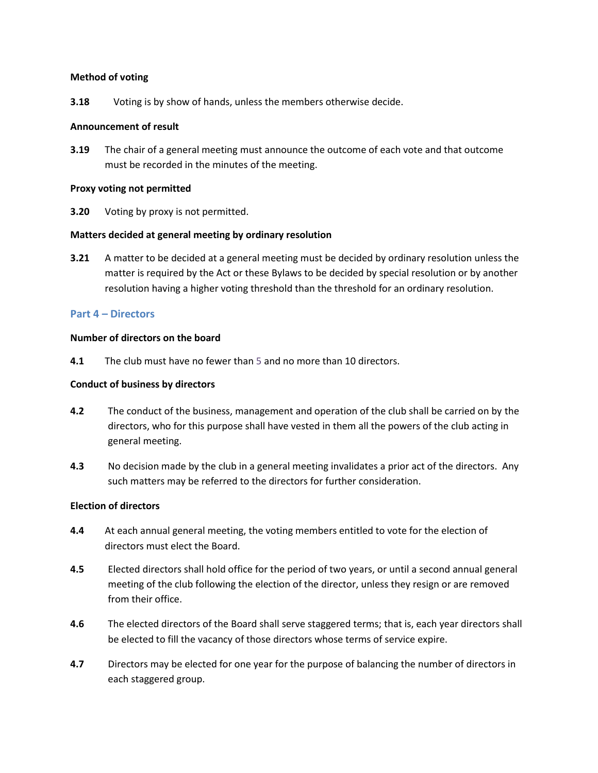#### **Method of voting**

**3.18** Voting is by show of hands, unless the members otherwise decide.

#### **Announcement of result**

**3.19** The chair of a general meeting must announce the outcome of each vote and that outcome must be recorded in the minutes of the meeting.

#### **Proxy voting not permitted**

**3.20** Voting by proxy is not permitted.

#### **Matters decided at general meeting by ordinary resolution**

**3.21** A matter to be decided at a general meeting must be decided by ordinary resolution unless the matter is required by the Act or these Bylaws to be decided by special resolution or by another resolution having a higher voting threshold than the threshold for an ordinary resolution.

#### **Part 4 – Directors**

#### **Number of directors on the board**

**4.1** The club must have no fewer than 5 and no more than 10 directors.

#### **Conduct of business by directors**

- **4.2** The conduct of the business, management and operation of the club shall be carried on by the directors, who for this purpose shall have vested in them all the powers of the club acting in general meeting.
- **4.3** No decision made by the club in a general meeting invalidates a prior act of the directors. Any such matters may be referred to the directors for further consideration.

#### **Election of directors**

- **4.4** At each annual general meeting, the voting members entitled to vote for the election of directors must elect the Board.
- **4.5** Elected directors shall hold office for the period of two years, or until a second annual general meeting of the club following the election of the director, unless they resign or are removed from their office.
- **4.6** The elected directors of the Board shall serve staggered terms; that is, each year directors shall be elected to fill the vacancy of those directors whose terms of service expire.
- **4.7** Directors may be elected for one year for the purpose of balancing the number of directors in each staggered group.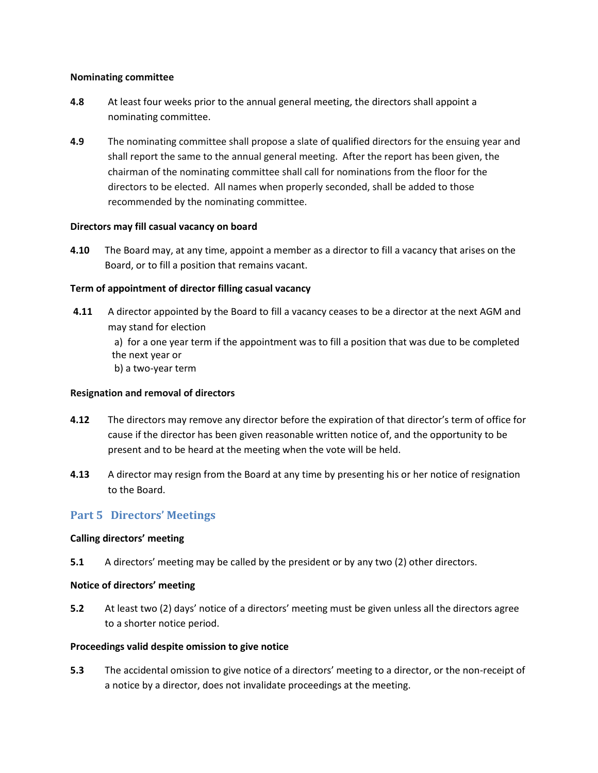#### **Nominating committee**

- **4.8** At least four weeks prior to the annual general meeting, the directors shall appoint a nominating committee.
- **4.9** The nominating committee shall propose a slate of qualified directors for the ensuing year and shall report the same to the annual general meeting. After the report has been given, the chairman of the nominating committee shall call for nominations from the floor for the directors to be elected. All names when properly seconded, shall be added to those recommended by the nominating committee.

#### **Directors may fill casual vacancy on board**

**4.10** The Board may, at any time, appoint a member as a director to fill a vacancy that arises on the Board, or to fill a position that remains vacant.

#### **Term of appointment of director filling casual vacancy**

**4.11** A director appointed by the Board to fill a vacancy ceases to be a director at the next AGM and may stand for election

a) for a one year term if the appointment was to fill a position that was due to be completed the next year or

b) a two-year term

#### **Resignation and removal of directors**

- **4.12** The directors may remove any director before the expiration of that director's term of office for cause if the director has been given reasonable written notice of, and the opportunity to be present and to be heard at the meeting when the vote will be held.
- **4.13** A director may resign from the Board at any time by presenting his or her notice of resignation to the Board.

# **Part 5 Directors' Meetings**

#### **Calling directors' meeting**

**5.1** A directors' meeting may be called by the president or by any two (2) other directors.

#### **Notice of directors' meeting**

**5.2** At least two (2) days' notice of a directors' meeting must be given unless all the directors agree to a shorter notice period.

#### **Proceedings valid despite omission to give notice**

**5.3** The accidental omission to give notice of a directors' meeting to a director, or the non-receipt of a notice by a director, does not invalidate proceedings at the meeting.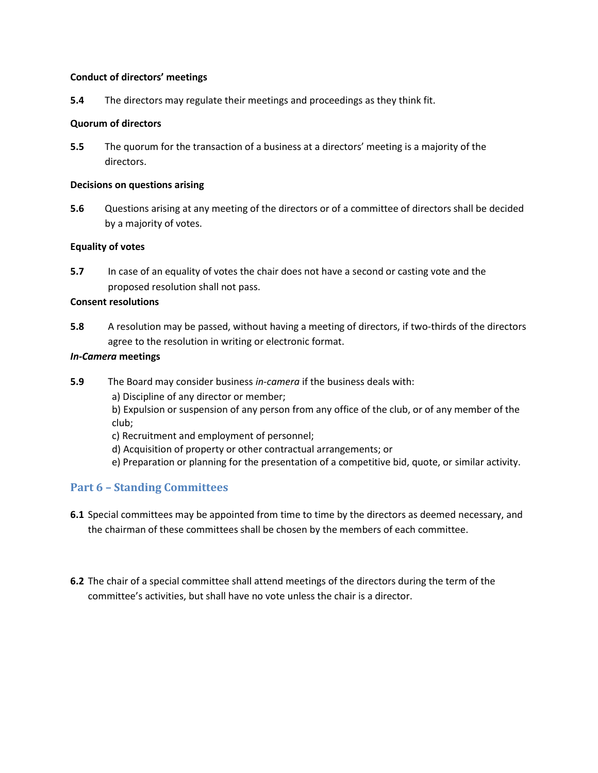#### **Conduct of directors' meetings**

**5.4** The directors may regulate their meetings and proceedings as they think fit.

#### **Quorum of directors**

**5.5** The quorum for the transaction of a business at a directors' meeting is a majority of the directors.

#### **Decisions on questions arising**

**5.6** Questions arising at any meeting of the directors or of a committee of directors shall be decided by a majority of votes.

#### **Equality of votes**

**5.7** In case of an equality of votes the chair does not have a second or casting vote and the proposed resolution shall not pass.

### **Consent resolutions**

**5.8** A resolution may be passed, without having a meeting of directors, if two-thirds of the directors agree to the resolution in writing or electronic format.

#### *In-Camera* **meetings**

- **5.9** The Board may consider business *in-camera* if the business deals with:
	- a) Discipline of any director or member;
	- b) Expulsion or suspension of any person from any office of the club, or of any member of the club;
	- c) Recruitment and employment of personnel;
	- d) Acquisition of property or other contractual arrangements; or
	- e) Preparation or planning for the presentation of a competitive bid, quote, or similar activity.

# **Part 6 – Standing Committees**

- **6.1** Special committees may be appointed from time to time by the directors as deemed necessary, and the chairman of these committees shall be chosen by the members of each committee.
- **6.2** The chair of a special committee shall attend meetings of the directors during the term of the committee's activities, but shall have no vote unless the chair is a director.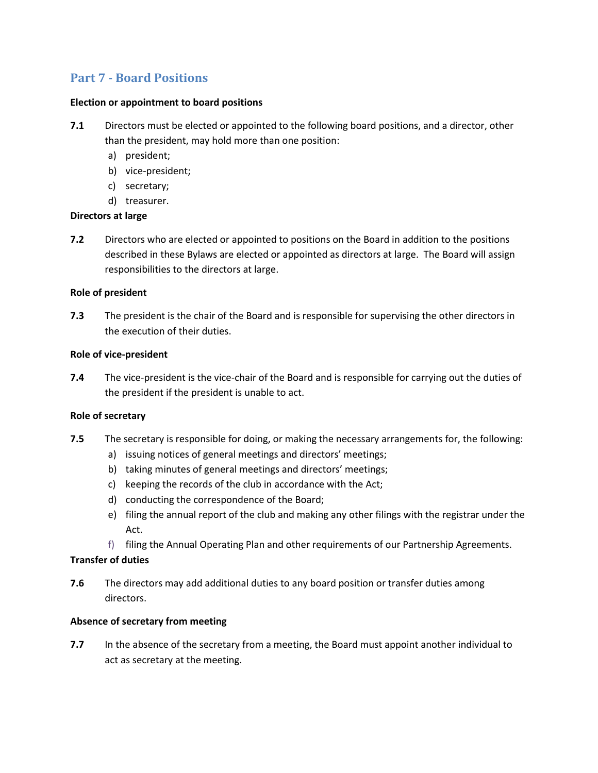# **Part 7 - Board Positions**

#### **Election or appointment to board positions**

- **7.1** Directors must be elected or appointed to the following board positions, and a director, other than the president, may hold more than one position:
	- a) president;
	- b) vice-president;
	- c) secretary;
	- d) treasurer.

#### **Directors at large**

**7.2** Directors who are elected or appointed to positions on the Board in addition to the positions described in these Bylaws are elected or appointed as directors at large. The Board will assign responsibilities to the directors at large.

#### **Role of president**

**7.3** The president is the chair of the Board and is responsible for supervising the other directors in the execution of their duties.

#### **Role of vice-president**

**7.4** The vice-president is the vice-chair of the Board and is responsible for carrying out the duties of the president if the president is unable to act.

#### **Role of secretary**

- **7.5** The secretary is responsible for doing, or making the necessary arrangements for, the following:
	- a) issuing notices of general meetings and directors' meetings;
	- b) taking minutes of general meetings and directors' meetings;
	- c) keeping the records of the club in accordance with the Act;
	- d) conducting the correspondence of the Board;
	- e) filing the annual report of the club and making any other filings with the registrar under the Act.
	- f) filing the Annual Operating Plan and other requirements of our Partnership Agreements.

#### **Transfer of duties**

**7.6** The directors may add additional duties to any board position or transfer duties among directors.

#### **Absence of secretary from meeting**

**7.7** In the absence of the secretary from a meeting, the Board must appoint another individual to act as secretary at the meeting.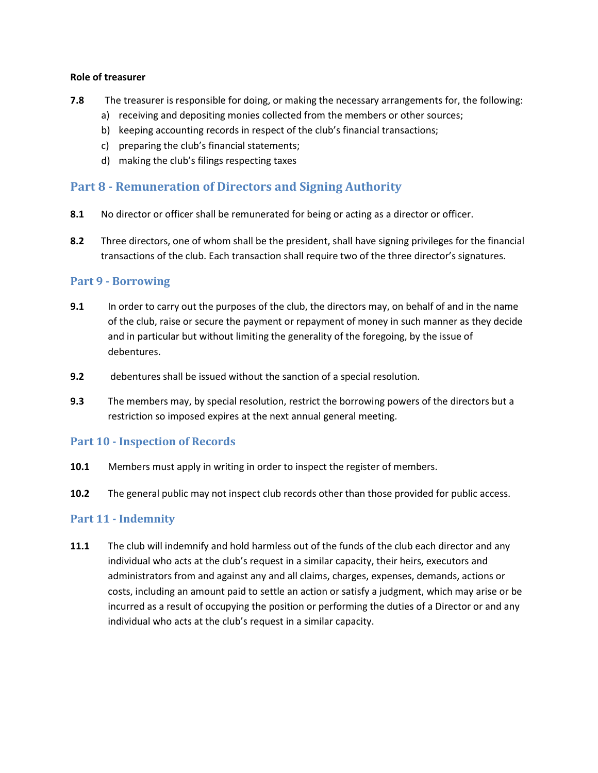#### **Role of treasurer**

- **7.8** The treasurer is responsible for doing, or making the necessary arrangements for, the following:
	- a) receiving and depositing monies collected from the members or other sources;
	- b) keeping accounting records in respect of the club's financial transactions;
	- c) preparing the club's financial statements;
	- d) making the club's filings respecting taxes

# **Part 8 - Remuneration of Directors and Signing Authority**

- **8.1** No director or officer shall be remunerated for being or acting as a director or officer.
- **8.2** Three directors, one of whom shall be the president, shall have signing privileges for the financial transactions of the club. Each transaction shall require two of the three director's signatures.

# **Part 9 - Borrowing**

- **9.1** In order to carry out the purposes of the club, the directors may, on behalf of and in the name of the club, raise or secure the payment or repayment of money in such manner as they decide and in particular but without limiting the generality of the foregoing, by the issue of debentures.
- **9.2** debentures shall be issued without the sanction of a special resolution.
- **9.3** The members may, by special resolution, restrict the borrowing powers of the directors but a restriction so imposed expires at the next annual general meeting.

# **Part 10 - Inspection of Records**

- **10.1** Members must apply in writing in order to inspect the register of members.
- **10.2** The general public may not inspect club records other than those provided for public access.

# **Part 11 - Indemnity**

**11.1** The club will indemnify and hold harmless out of the funds of the club each director and any individual who acts at the club's request in a similar capacity, their heirs, executors and administrators from and against any and all claims, charges, expenses, demands, actions or costs, including an amount paid to settle an action or satisfy a judgment, which may arise or be incurred as a result of occupying the position or performing the duties of a Director or and any individual who acts at the club's request in a similar capacity.